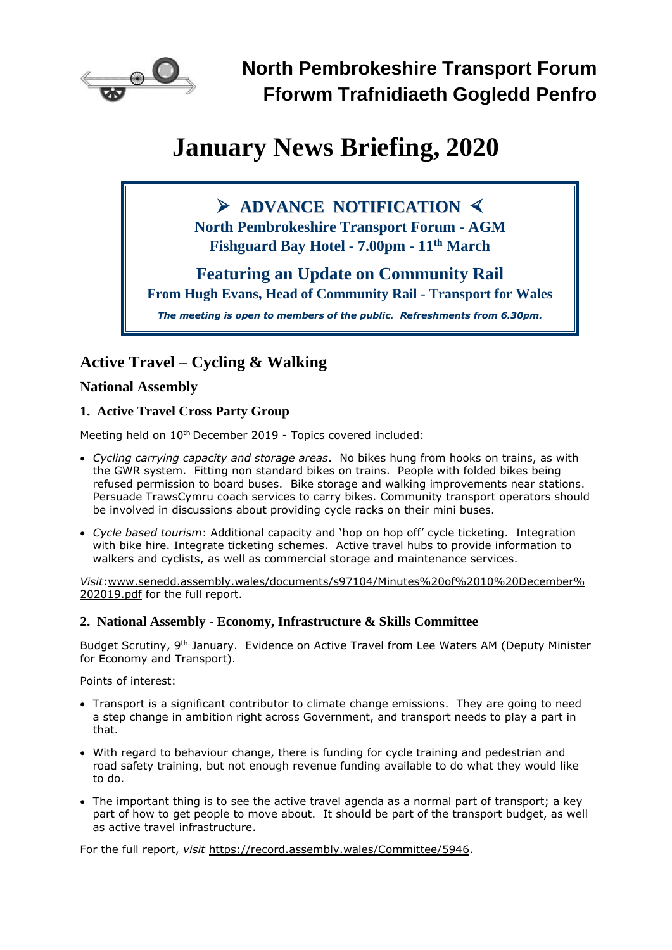

# **January News Briefing, 2020**

## ➢ **ADVANCE NOTIFICATION**

**North Pembrokeshire Transport Forum - AGM Fishguard Bay Hotel - 7.00pm - 11 th March**

## **Featuring an Update on Community Rail**

**From Hugh Evans, Head of Community Rail - Transport for Wales**

*The meeting is open to members of the public. Refreshments from 6.30pm.*

## **Active Travel – Cycling & Walking**

#### **National Assembly**

#### **1. Active Travel Cross Party Group**

Meeting held on 10<sup>th</sup> December 2019 - Topics covered included:

- *Cycling carrying capacity and storage areas*. No bikes hung from hooks on trains, as with the GWR system. Fitting non standard bikes on trains. People with folded bikes being refused permission to board buses. Bike storage and walking improvements near stations. Persuade TrawsCymru coach services to carry bikes. Community transport operators should be involved in discussions about providing cycle racks on their mini buses.
- *Cycle based tourism*: Additional capacity and 'hop on hop off' cycle ticketing. Integration with bike hire. Integrate ticketing schemes. Active travel hubs to provide information to walkers and cyclists, as well as commercial storage and maintenance services.

*Visit*[:www.senedd.assembly.wales/documents/s97104/Minutes%20of%2010%20December%](http://www.senedd.assembly.wales/documents/s97104/Minutes%20of%2010%20December%202019.pdf) [202019.pdf](http://www.senedd.assembly.wales/documents/s97104/Minutes%20of%2010%20December%202019.pdf) for the full report.

#### **2. National Assembly - Economy, Infrastructure & Skills Committee**

Budget Scrutiny, 9<sup>th</sup> January. Evidence on Active Travel from Lee Waters AM (Deputy Minister for Economy and Transport).

Points of interest:

- Transport is a significant contributor to climate change emissions. They are going to need a step change in ambition right across Government, and transport needs to play a part in that.
- With regard to behaviour change, there is funding for cycle training and pedestrian and road safety training, but not enough revenue funding available to do what they would like to do.
- The important thing is to see the active travel agenda as a normal part of transport; a key part of how to get people to move about. It should be part of the transport budget, as well as active travel infrastructure.

For the full report, *visit* [https://record.assembly.wales/Committee/5946.](https://record.assembly.wales/Committee/5946)